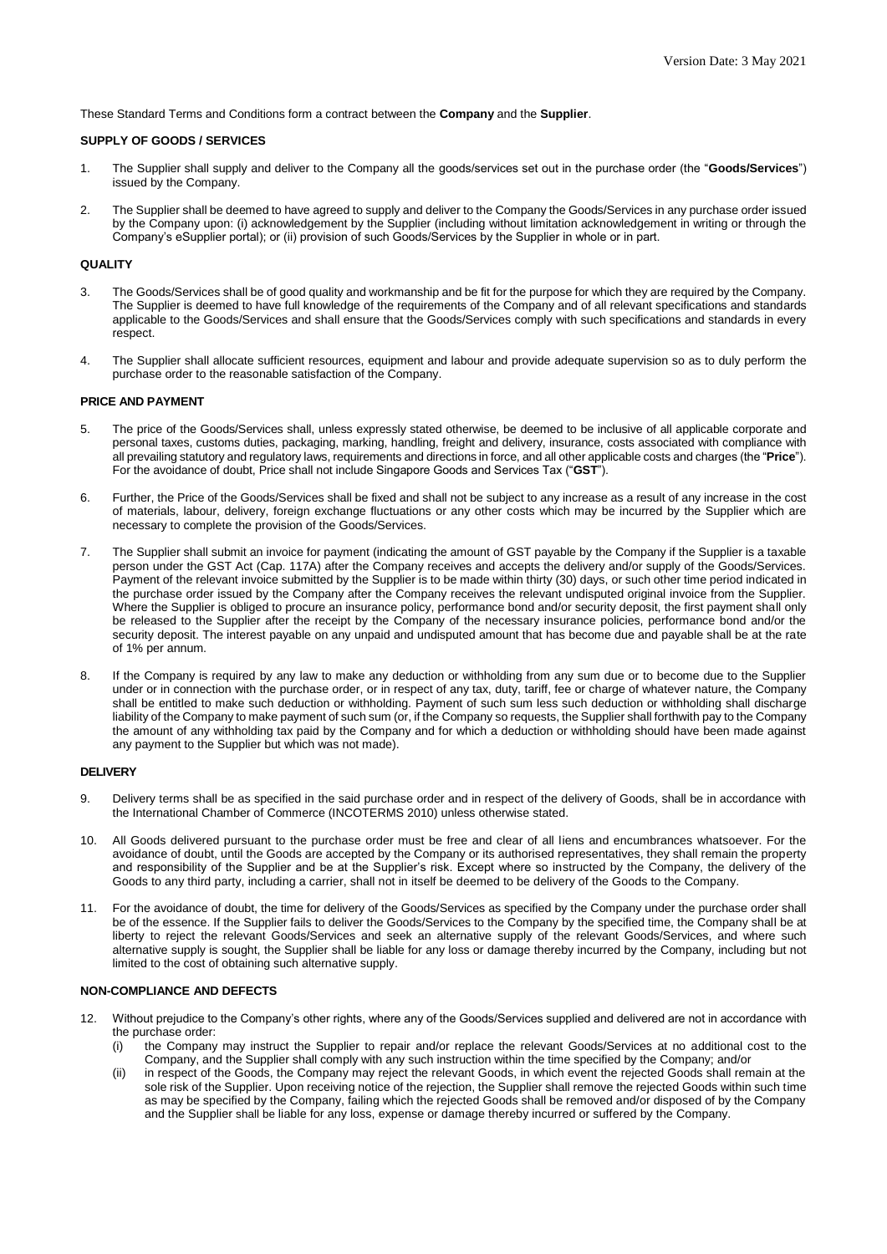These Standard Terms and Conditions form a contract between the **Company** and the **Supplier**.

## **SUPPLY OF GOODS / SERVICES**

- 1. The Supplier shall supply and deliver to the Company all the goods/services set out in the purchase order (the "**Goods/Services**") issued by the Company.
- 2. The Supplier shall be deemed to have agreed to supply and deliver to the Company the Goods/Services in any purchase order issued by the Company upon: (i) acknowledgement by the Supplier (including without limitation acknowledgement in writing or through the Company's eSupplier portal); or (ii) provision of such Goods/Services by the Supplier in whole or in part.

#### **QUALITY**

- 3. The Goods/Services shall be of good quality and workmanship and be fit for the purpose for which they are required by the Company. The Supplier is deemed to have full knowledge of the requirements of the Company and of all relevant specifications and standards applicable to the Goods/Services and shall ensure that the Goods/Services comply with such specifications and standards in every respect.
- 4. The Supplier shall allocate sufficient resources, equipment and labour and provide adequate supervision so as to duly perform the purchase order to the reasonable satisfaction of the Company.

#### **PRICE AND PAYMENT**

- 5. The price of the Goods/Services shall, unless expressly stated otherwise, be deemed to be inclusive of all applicable corporate and personal taxes, customs duties, packaging, marking, handling, freight and delivery, insurance, costs associated with compliance with all prevailing statutory and regulatory laws, requirements and directions in force, and all other applicable costs and charges (the "**Price**"). For the avoidance of doubt, Price shall not include Singapore Goods and Services Tax ("**GST**").
- 6. Further, the Price of the Goods/Services shall be fixed and shall not be subject to any increase as a result of any increase in the cost of materials, labour, delivery, foreign exchange fluctuations or any other costs which may be incurred by the Supplier which are necessary to complete the provision of the Goods/Services.
- 7. The Supplier shall submit an invoice for payment (indicating the amount of GST payable by the Company if the Supplier is a taxable person under the GST Act (Cap. 117A) after the Company receives and accepts the delivery and/or supply of the Goods/Services. Payment of the relevant invoice submitted by the Supplier is to be made within thirty (30) days, or such other time period indicated in the purchase order issued by the Company after the Company receives the relevant undisputed original invoice from the Supplier. Where the Supplier is obliged to procure an insurance policy, performance bond and/or security deposit, the first payment shall only be released to the Supplier after the receipt by the Company of the necessary insurance policies, performance bond and/or the security deposit. The interest payable on any unpaid and undisputed amount that has become due and payable shall be at the rate of 1% per annum.
- 8. If the Company is required by any law to make any deduction or withholding from any sum due or to become due to the Supplier under or in connection with the purchase order, or in respect of any tax, duty, tariff, fee or charge of whatever nature, the Company shall be entitled to make such deduction or withholding. Payment of such sum less such deduction or withholding shall discharge liability of the Company to make payment of such sum (or, if the Company so requests, the Supplier shall forthwith pay to the Company the amount of any withholding tax paid by the Company and for which a deduction or withholding should have been made against any payment to the Supplier but which was not made).

#### **DELIVERY**

- 9. Delivery terms shall be as specified in the said purchase order and in respect of the delivery of Goods, shall be in accordance with the International Chamber of Commerce (INCOTERMS 2010) unless otherwise stated.
- 10. All Goods delivered pursuant to the purchase order must be free and clear of all liens and encumbrances whatsoever. For the avoidance of doubt, until the Goods are accepted by the Company or its authorised representatives, they shall remain the property and responsibility of the Supplier and be at the Supplier's risk. Except where so instructed by the Company, the delivery of the Goods to any third party, including a carrier, shall not in itself be deemed to be delivery of the Goods to the Company.
- 11. For the avoidance of doubt, the time for delivery of the Goods/Services as specified by the Company under the purchase order shall be of the essence. If the Supplier fails to deliver the Goods/Services to the Company by the specified time, the Company shall be at liberty to reject the relevant Goods/Services and seek an alternative supply of the relevant Goods/Services, and where such alternative supply is sought, the Supplier shall be liable for any loss or damage thereby incurred by the Company, including but not limited to the cost of obtaining such alternative supply.

#### **NON-COMPLIANCE AND DEFECTS**

- 12. Without prejudice to the Company's other rights, where any of the Goods/Services supplied and delivered are not in accordance with the purchase order:
	- (i) the Company may instruct the Supplier to repair and/or replace the relevant Goods/Services at no additional cost to the Company, and the Supplier shall comply with any such instruction within the time specified by the Company; and/or
	- (ii) in respect of the Goods, the Company may reject the relevant Goods, in which event the rejected Goods shall remain at the sole risk of the Supplier. Upon receiving notice of the rejection, the Supplier shall remove the rejected Goods within such time as may be specified by the Company, failing which the rejected Goods shall be removed and/or disposed of by the Company and the Supplier shall be liable for any loss, expense or damage thereby incurred or suffered by the Company.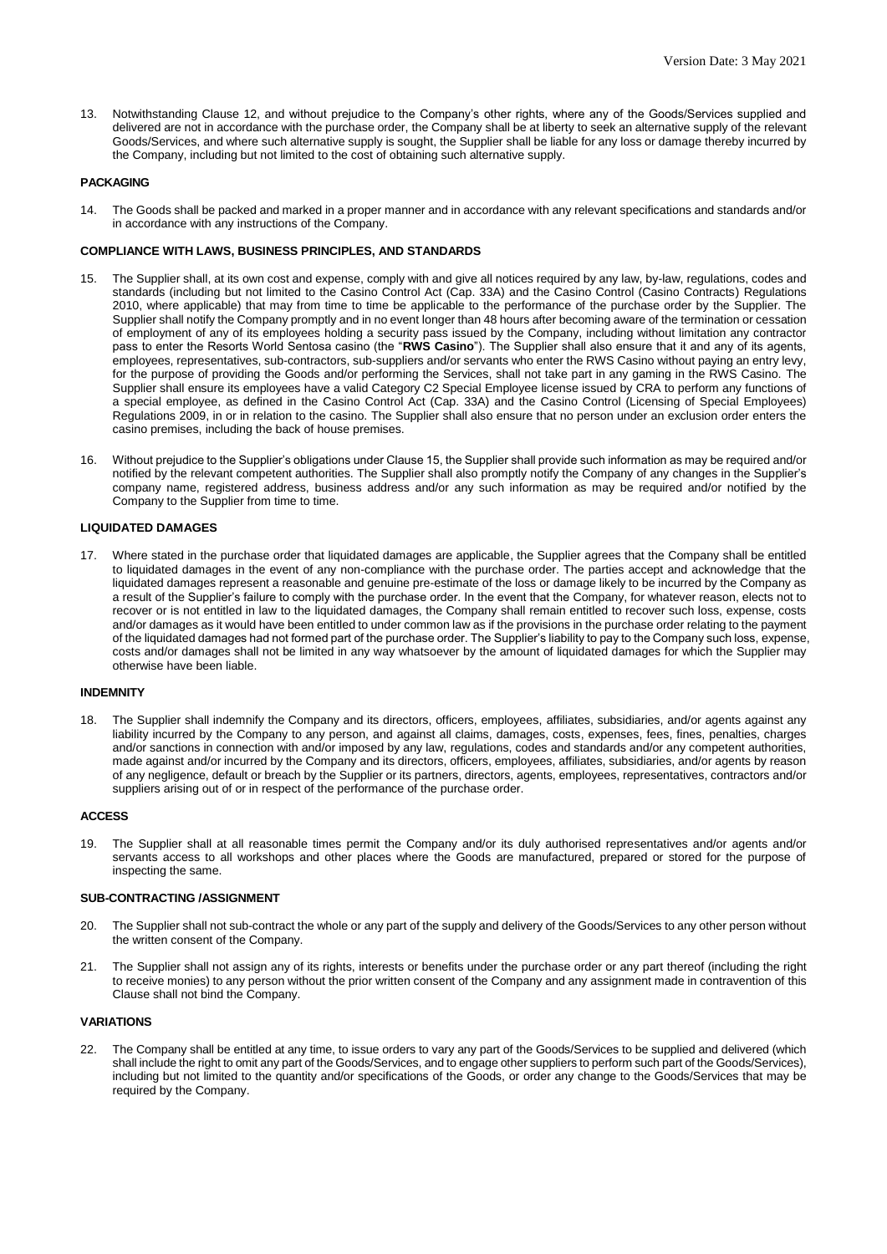13. Notwithstanding Clause 12, and without prejudice to the Company's other rights, where any of the Goods/Services supplied and delivered are not in accordance with the purchase order, the Company shall be at liberty to seek an alternative supply of the relevant Goods/Services, and where such alternative supply is sought, the Supplier shall be liable for any loss or damage thereby incurred by the Company, including but not limited to the cost of obtaining such alternative supply.

#### **PACKAGING**

14. The Goods shall be packed and marked in a proper manner and in accordance with any relevant specifications and standards and/or in accordance with any instructions of the Company.

#### **COMPLIANCE WITH LAWS, BUSINESS PRINCIPLES, AND STANDARDS**

- 15. The Supplier shall, at its own cost and expense, comply with and give all notices required by any law, by-law, regulations, codes and standards (including but not limited to the Casino Control Act (Cap. 33A) and the Casino Control (Casino Contracts) Regulations 2010, where applicable) that may from time to time be applicable to the performance of the purchase order by the Supplier. The Supplier shall notify the Company promptly and in no event longer than 48 hours after becoming aware of the termination or cessation of employment of any of its employees holding a security pass issued by the Company, including without limitation any contractor pass to enter the Resorts World Sentosa casino (the "**RWS Casino**"). The Supplier shall also ensure that it and any of its agents, employees, representatives, sub-contractors, sub-suppliers and/or servants who enter the RWS Casino without paying an entry levy, for the purpose of providing the Goods and/or performing the Services, shall not take part in any gaming in the RWS Casino. The Supplier shall ensure its employees have a valid Category C2 Special Employee license issued by CRA to perform any functions of a special employee, as defined in the Casino Control Act (Cap. 33A) and the Casino Control (Licensing of Special Employees) Regulations 2009, in or in relation to the casino. The Supplier shall also ensure that no person under an exclusion order enters the casino premises, including the back of house premises.
- 16. Without prejudice to the Supplier's obligations under Clause 15, the Supplier shall provide such information as may be required and/or notified by the relevant competent authorities. The Supplier shall also promptly notify the Company of any changes in the Supplier's company name, registered address, business address and/or any such information as may be required and/or notified by the Company to the Supplier from time to time.

#### **LIQUIDATED DAMAGES**

17. Where stated in the purchase order that liquidated damages are applicable, the Supplier agrees that the Company shall be entitled to liquidated damages in the event of any non-compliance with the purchase order. The parties accept and acknowledge that the liquidated damages represent a reasonable and genuine pre-estimate of the loss or damage likely to be incurred by the Company as a result of the Supplier's failure to comply with the purchase order. In the event that the Company, for whatever reason, elects not to recover or is not entitled in law to the liquidated damages, the Company shall remain entitled to recover such loss, expense, costs and/or damages as it would have been entitled to under common law as if the provisions in the purchase order relating to the payment of the liquidated damages had not formed part of the purchase order. The Supplier's liability to pay to the Company such loss, expense, costs and/or damages shall not be limited in any way whatsoever by the amount of liquidated damages for which the Supplier may otherwise have been liable.

#### **INDEMNITY**

18. The Supplier shall indemnify the Company and its directors, officers, employees, affiliates, subsidiaries, and/or agents against any liability incurred by the Company to any person, and against all claims, damages, costs, expenses, fees, fines, penalties, charges and/or sanctions in connection with and/or imposed by any law, regulations, codes and standards and/or any competent authorities, made against and/or incurred by the Company and its directors, officers, employees, affiliates, subsidiaries, and/or agents by reason of any negligence, default or breach by the Supplier or its partners, directors, agents, employees, representatives, contractors and/or suppliers arising out of or in respect of the performance of the purchase order.

#### **ACCESS**

19. The Supplier shall at all reasonable times permit the Company and/or its duly authorised representatives and/or agents and/or servants access to all workshops and other places where the Goods are manufactured, prepared or stored for the purpose of inspecting the same.

#### **SUB-CONTRACTING /ASSIGNMENT**

- 20. The Supplier shall not sub-contract the whole or any part of the supply and delivery of the Goods/Services to any other person without the written consent of the Company.
- 21. The Supplier shall not assign any of its rights, interests or benefits under the purchase order or any part thereof (including the right to receive monies) to any person without the prior written consent of the Company and any assignment made in contravention of this Clause shall not bind the Company.

#### **VARIATIONS**

22. The Company shall be entitled at any time, to issue orders to vary any part of the Goods/Services to be supplied and delivered (which shall include the right to omit any part of the Goods/Services, and to engage other suppliers to perform such part of the Goods/Services), including but not limited to the quantity and/or specifications of the Goods, or order any change to the Goods/Services that may be required by the Company.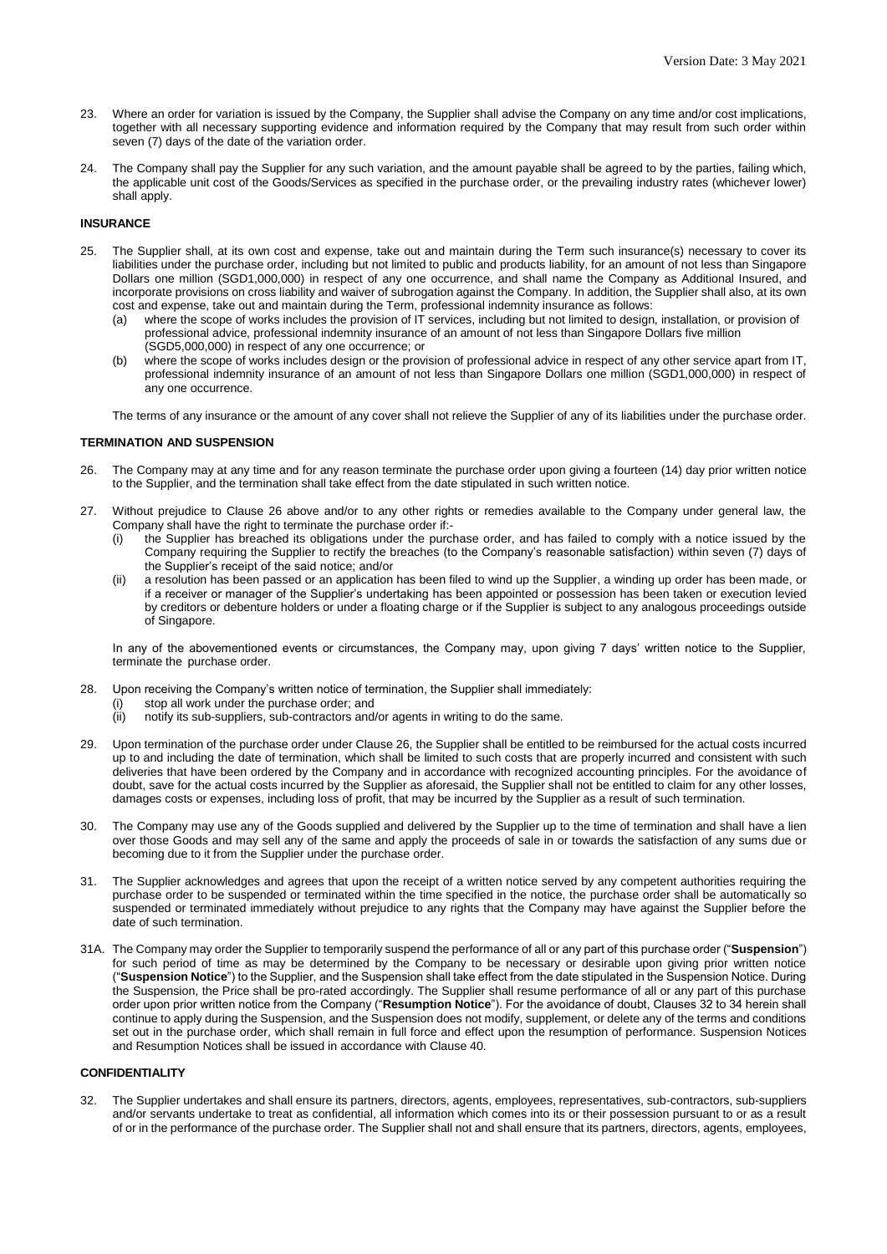- 23. Where an order for variation is issued by the Company, the Supplier shall advise the Company on any time and/or cost implications, together with all necessary supporting evidence and information required by the Company that may result from such order within seven (7) days of the date of the variation order.
- 24. The Company shall pay the Supplier for any such variation, and the amount payable shall be agreed to by the parties, failing which, the applicable unit cost of the Goods/Services as specified in the purchase order, or the prevailing industry rates (whichever lower) shall apply.

## **INSURANCE**

- 25. The Supplier shall, at its own cost and expense, take out and maintain during the Term such insurance(s) necessary to cover its liabilities under the purchase order, including but not limited to public and products liability, for an amount of not less than Singapore Dollars one million (SGD1,000,000) in respect of any one occurrence, and shall name the Company as Additional Insured, and incorporate provisions on cross liability and waiver of subrogation against the Company. In addition, the Supplier shall also, at its own cost and expense, take out and maintain during the Term, professional indemnity insurance as follows:
	- (a) where the scope of works includes the provision of IT services, including but not limited to design, installation, or provision of professional advice, professional indemnity insurance of an amount of not less than Singapore Dollars five million (SGD5,000,000) in respect of any one occurrence; or
	- (b) where the scope of works includes design or the provision of professional advice in respect of any other service apart from IT, professional indemnity insurance of an amount of not less than Singapore Dollars one million (SGD1,000,000) in respect of any one occurrence.

The terms of any insurance or the amount of any cover shall not relieve the Supplier of any of its liabilities under the purchase order.

#### **TERMINATION AND SUSPENSION**

- 26. The Company may at any time and for any reason terminate the purchase order upon giving a fourteen (14) day prior written notice to the Supplier, and the termination shall take effect from the date stipulated in such written notice.
- 27. Without prejudice to Clause 26 above and/or to any other rights or remedies available to the Company under general law, the Company shall have the right to terminate the purchase order if:
	- the Supplier has breached its obligations under the purchase order, and has failed to comply with a notice issued by the Company requiring the Supplier to rectify the breaches (to the Company's reasonable satisfaction) within seven (7) days of the Supplier's receipt of the said notice; and/or
	- (ii) a resolution has been passed or an application has been filed to wind up the Supplier, a winding up order has been made, or if a receiver or manager of the Supplier's undertaking has been appointed or possession has been taken or execution levied by creditors or debenture holders or under a floating charge or if the Supplier is subject to any analogous proceedings outside of Singapore.

In any of the abovementioned events or circumstances, the Company may, upon giving 7 days' written notice to the Supplier, terminate the purchase order.

- 28. Upon receiving the Company's written notice of termination, the Supplier shall immediately:
	- (i) stop all work under the purchase order; and
	- (ii) notify its sub-suppliers, sub-contractors and/or agents in writing to do the same.
- 29. Upon termination of the purchase order under Clause 26, the Supplier shall be entitled to be reimbursed for the actual costs incurred up to and including the date of termination, which shall be limited to such costs that are properly incurred and consistent with such deliveries that have been ordered by the Company and in accordance with recognized accounting principles. For the avoidance of doubt, save for the actual costs incurred by the Supplier as aforesaid, the Supplier shall not be entitled to claim for any other losses, damages costs or expenses, including loss of profit, that may be incurred by the Supplier as a result of such termination.
- 30. The Company may use any of the Goods supplied and delivered by the Supplier up to the time of termination and shall have a lien over those Goods and may sell any of the same and apply the proceeds of sale in or towards the satisfaction of any sums due or becoming due to it from the Supplier under the purchase order.
- 31. The Supplier acknowledges and agrees that upon the receipt of a written notice served by any competent authorities requiring the purchase order to be suspended or terminated within the time specified in the notice, the purchase order shall be automatically so suspended or terminated immediately without prejudice to any rights that the Company may have against the Supplier before the date of such termination.
- 31A. The Company may order the Supplier to temporarily suspend the performance of all or any part of this purchase order ("**Suspension**") for such period of time as may be determined by the Company to be necessary or desirable upon giving prior written notice ("**Suspension Notice**") to the Supplier, and the Suspension shall take effect from the date stipulated in the Suspension Notice. During the Suspension, the Price shall be pro-rated accordingly. The Supplier shall resume performance of all or any part of this purchase order upon prior written notice from the Company ("**Resumption Notice**"). For the avoidance of doubt, Clauses 32 to 34 herein shall continue to apply during the Suspension, and the Suspension does not modify, supplement, or delete any of the terms and conditions set out in the purchase order, which shall remain in full force and effect upon the resumption of performance. Suspension Notices and Resumption Notices shall be issued in accordance with Clause 40.

# **CONFIDENTIALITY**

32. The Supplier undertakes and shall ensure its partners, directors, agents, employees, representatives, sub-contractors, sub-suppliers and/or servants undertake to treat as confidential, all information which comes into its or their possession pursuant to or as a result of or in the performance of the purchase order. The Supplier shall not and shall ensure that its partners, directors, agents, employees,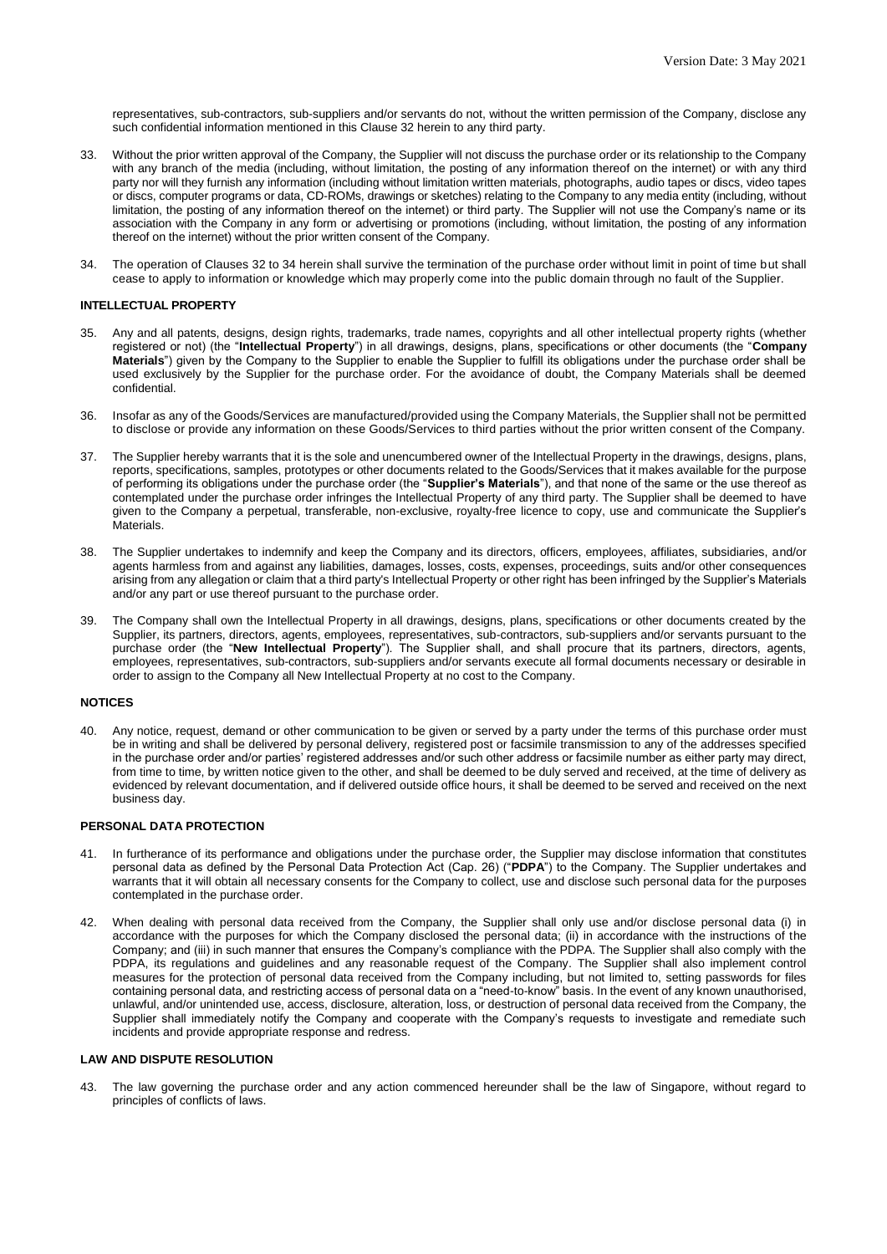representatives, sub-contractors, sub-suppliers and/or servants do not, without the written permission of the Company, disclose any such confidential information mentioned in this Clause 32 herein to any third party.

- 33. Without the prior written approval of the Company, the Supplier will not discuss the purchase order or its relationship to the Company with any branch of the media (including, without limitation, the posting of any information thereof on the internet) or with any third party nor will they furnish any information (including without limitation written materials, photographs, audio tapes or discs, video tapes or discs, computer programs or data, CD-ROMs, drawings or sketches) relating to the Company to any media entity (including, without limitation, the posting of any information thereof on the internet) or third party. The Supplier will not use the Company's name or its association with the Company in any form or advertising or promotions (including, without limitation, the posting of any information thereof on the internet) without the prior written consent of the Company.
- 34. The operation of Clauses 32 to 34 herein shall survive the termination of the purchase order without limit in point of time but shall cease to apply to information or knowledge which may properly come into the public domain through no fault of the Supplier.

## **INTELLECTUAL PROPERTY**

- 35. Any and all patents, designs, design rights, trademarks, trade names, copyrights and all other intellectual property rights (whether registered or not) (the "**Intellectual Property**") in all drawings, designs, plans, specifications or other documents (the "**Company Materials**") given by the Company to the Supplier to enable the Supplier to fulfill its obligations under the purchase order shall be used exclusively by the Supplier for the purchase order. For the avoidance of doubt, the Company Materials shall be deemed confidential.
- 36. Insofar as any of the Goods/Services are manufactured/provided using the Company Materials, the Supplier shall not be permitted to disclose or provide any information on these Goods/Services to third parties without the prior written consent of the Company.
- 37. The Supplier hereby warrants that it is the sole and unencumbered owner of the Intellectual Property in the drawings, designs, plans, reports, specifications, samples, prototypes or other documents related to the Goods/Services that it makes available for the purpose of performing its obligations under the purchase order (the "**Supplier's Materials**"), and that none of the same or the use thereof as contemplated under the purchase order infringes the Intellectual Property of any third party. The Supplier shall be deemed to have given to the Company a perpetual, transferable, non-exclusive, royalty-free licence to copy, use and communicate the Supplier's **Materials**
- 38. The Supplier undertakes to indemnify and keep the Company and its directors, officers, employees, affiliates, subsidiaries, and/or agents harmless from and against any liabilities, damages, losses, costs, expenses, proceedings, suits and/or other consequences arising from any allegation or claim that a third party's Intellectual Property or other right has been infringed by the Supplier's Materials and/or any part or use thereof pursuant to the purchase order.
- 39. The Company shall own the Intellectual Property in all drawings, designs, plans, specifications or other documents created by the Supplier, its partners, directors, agents, employees, representatives, sub-contractors, sub-suppliers and/or servants pursuant to the purchase order (the "**New Intellectual Property**"). The Supplier shall, and shall procure that its partners, directors, agents, employees, representatives, sub-contractors, sub-suppliers and/or servants execute all formal documents necessary or desirable in order to assign to the Company all New Intellectual Property at no cost to the Company.

#### **NOTICES**

40. Any notice, request, demand or other communication to be given or served by a party under the terms of this purchase order must be in writing and shall be delivered by personal delivery, registered post or facsimile transmission to any of the addresses specified in the purchase order and/or parties' registered addresses and/or such other address or facsimile number as either party may direct, from time to time, by written notice given to the other, and shall be deemed to be duly served and received, at the time of delivery as evidenced by relevant documentation, and if delivered outside office hours, it shall be deemed to be served and received on the next business day.

#### **PERSONAL DATA PROTECTION**

- 41. In furtherance of its performance and obligations under the purchase order, the Supplier may disclose information that constitutes personal data as defined by the Personal Data Protection Act (Cap. 26) ("**PDPA**") to the Company. The Supplier undertakes and warrants that it will obtain all necessary consents for the Company to collect, use and disclose such personal data for the purposes contemplated in the purchase order.
- 42. When dealing with personal data received from the Company, the Supplier shall only use and/or disclose personal data (i) in accordance with the purposes for which the Company disclosed the personal data; (ii) in accordance with the instructions of the Company; and (iii) in such manner that ensures the Company's compliance with the PDPA. The Supplier shall also comply with the PDPA, its regulations and guidelines and any reasonable request of the Company. The Supplier shall also implement control measures for the protection of personal data received from the Company including, but not limited to, setting passwords for files containing personal data, and restricting access of personal data on a "need-to-know" basis. In the event of any known unauthorised, unlawful, and/or unintended use, access, disclosure, alteration, loss, or destruction of personal data received from the Company, the Supplier shall immediately notify the Company and cooperate with the Company's requests to investigate and remediate such incidents and provide appropriate response and redress.

#### **LAW AND DISPUTE RESOLUTION**

43. The law governing the purchase order and any action commenced hereunder shall be the law of Singapore, without regard to principles of conflicts of laws.